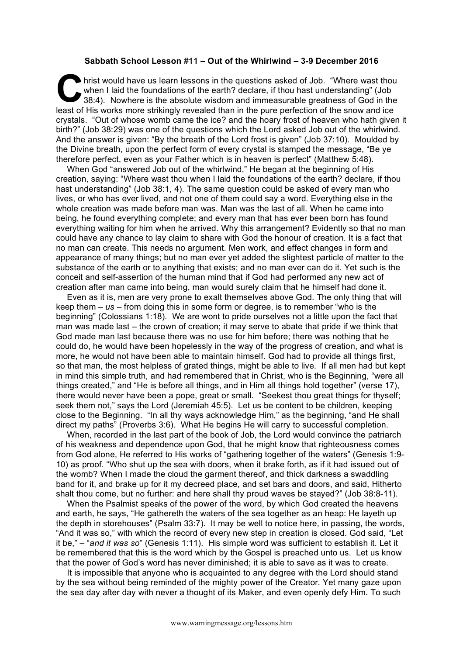## **Sabbath School Lesson #11 – Out of the Whirlwind – 3-9 December 2016**

hrist would have us learn lessons in the questions asked of Job. "Where wast thou when I laid the foundations of the earth? declare, if thou hast understanding" (Job 38:4). Nowhere is the absolute wisdom and immeasurable greatness of God in the least of His works more strikingly revealed than in the pure perfection of the snow and ice crystals. "Out of whose womb came the ice? and the hoary frost of heaven who hath given it birth?" (Job 38:29) was one of the questions which the Lord asked Job out of the whirlwind. And the answer is given: "By the breath of the Lord frost is given" (Job 37:10). Moulded by the Divine breath, upon the perfect form of every crystal is stamped the message, "Be ye therefore perfect, even as your Father which is in heaven is perfect" (Matthew 5:48). **C** wh<br>38

When God "answered Job out of the whirlwind," He began at the beginning of His creation, saying: "Where wast thou when I laid the foundations of the earth? declare, if thou hast understanding" (Job 38:1, 4). The same question could be asked of every man who lives, or who has ever lived, and not one of them could say a word. Everything else in the whole creation was made before man was. Man was the last of all. When he came into being, he found everything complete; and every man that has ever been born has found everything waiting for him when he arrived. Why this arrangement? Evidently so that no man could have any chance to lay claim to share with God the honour of creation. It is a fact that no man can create. This needs no argument. Men work, and effect changes in form and appearance of many things; but no man ever yet added the slightest particle of matter to the substance of the earth or to anything that exists; and no man ever can do it. Yet such is the conceit and self-assertion of the human mind that if God had performed any new act of creation after man came into being, man would surely claim that he himself had done it.

Even as it is, men are very prone to exalt themselves above God. The only thing that will keep them – *us* – from doing this in some form or degree, is to remember "who is the beginning" (Colossians 1:18). We are wont to pride ourselves not a little upon the fact that man was made last – the crown of creation; it may serve to abate that pride if we think that God made man last because there was no use for him before; there was nothing that he could do, he would have been hopelessly in the way of the progress of creation, and what is more, he would not have been able to maintain himself. God had to provide all things first, so that man, the most helpless of grated things, might be able to live. If all men had but kept in mind this simple truth, and had remembered that in Christ, who is the Beginning, "were all things created," and "He is before all things, and in Him all things hold together" (verse 17), there would never have been a pope, great or small. "Seekest thou great things for thyself; seek them not," says the Lord (Jeremiah 45:5). Let us be content to be children, keeping close to the Beginning. "In all thy ways acknowledge Him," as the beginning, "and He shall direct my paths" (Proverbs 3:6). What He begins He will carry to successful completion.

When, recorded in the last part of the book of Job, the Lord would convince the patriarch of his weakness and dependence upon God, that he might know that righteousness comes from God alone, He referred to His works of "gathering together of the waters" (Genesis 1:9- 10) as proof. "Who shut up the sea with doors, when it brake forth, as if it had issued out of the womb? When I made the cloud the garment thereof, and thick darkness a swaddling band for it, and brake up for it my decreed place, and set bars and doors, and said, Hitherto shalt thou come, but no further: and here shall thy proud waves be stayed?" (Job 38:8-11).

When the Psalmist speaks of the power of the word, by which God created the heavens and earth, he says, "He gathereth the waters of the sea together as an heap: He layeth up the depth in storehouses" (Psalm 33:7). It may be well to notice here, in passing, the words, "And it was so," with which the record of every new step in creation is closed. God said, "Let it be," – "*and it was so*" (Genesis 1:11). His simple word was sufficient to establish it. Let it be remembered that this is the word which by the Gospel is preached unto us. Let us know that the power of God's word has never diminished; it is able to save as it was to create.

It is impossible that anyone who is acquainted to any degree with the Lord should stand by the sea without being reminded of the mighty power of the Creator. Yet many gaze upon the sea day after day with never a thought of its Maker, and even openly defy Him. To such